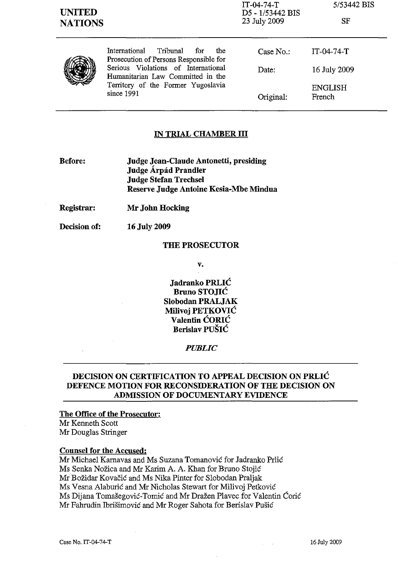| <b>UNITED</b><br><b>NATIONS</b> |                                                                                                                                                                                                                   | IT-04-74-T<br>D5 - 1/53442 BIS<br>23 July 2009 | 5/53442 BIS<br>SF |
|---------------------------------|-------------------------------------------------------------------------------------------------------------------------------------------------------------------------------------------------------------------|------------------------------------------------|-------------------|
|                                 | International<br>Tribunal<br>for<br>the<br>Prosecution of Persons Responsible for<br>Serious Violations of International<br>Humanitarian Law Committed in the<br>Territory of the Former Yugoslavia<br>since 1991 | Case $No.$ :                                   | $IT-04-74-T$      |
|                                 |                                                                                                                                                                                                                   | Date:                                          | 16 July 2009      |
|                                 |                                                                                                                                                                                                                   | Original:                                      | ENGLISH<br>French |

## **IN TRIAL CHAMBER ill**

- **Before: Judge Jean-Claude Antonetti, presiding Judge Arpad Prandler Judge Stefan Trechsel Reserve Judge Antoine Kesia-Mbe Mindua**
- **Registrar: Mr John Hocking**

**Decision of:**  16 July 2009

#### **THE PROSECUTOR**

v.

**Jadranko PRLIC Bruno STOJIC Slobodan PRALJAK Milivoj PETKOVIC Valentin CORIC Berislav PUSIC** 

## *PUBLIC*

# **DECISION ON CERTIFICATION TO APPEAL DECISION ON PRLIC DEFENCE MOTION FOR RECONSIDERATION OF THE DECISION ON ADMISSION OF DOCUMENTARY EVIDENCE**

# **The Office of the Prosecutor:**

Mr Kenneth Scott Mr Douglas Stringer

#### **Counsel for the Accused:**

Mr Michael Karnavas and Ms Suzana Tomanovic for Jadranko Prlic Ms Senka Nožica and Mr Karim A. A. Khan for Bruno Stojić Mr Bozidar Kovacic and Ms Nika Pinter for Slobodan Praljak Ms Vesna Alaburic and Mr Nicholas Stewart for Milivoj Petkovic Ms Dijana Tomašegović-Tomić and Mr Dražen Plavec for Valentin Ćorić Mr Fahrudin Ibrisimovic and Mr Roger Sahota for Berislav Pusic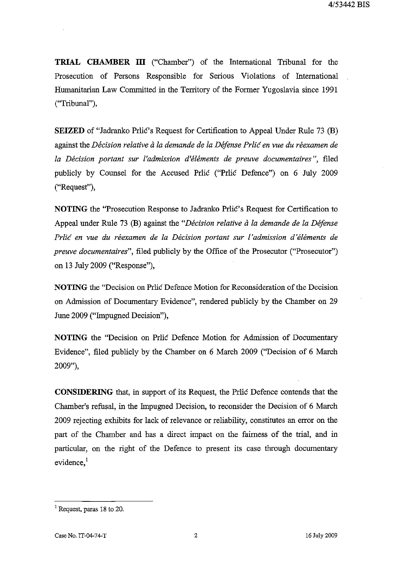**TRIAL CHAMBER III** ("Chamber") of the International Tribunal for the Prosecution of Persons Responsible for Serious Violations of International Humanitarian Law Committed in the Territory of the Former Yugoslavia since 1991 ("Tribunal"),

**SEIZED** of "Jadranko Prlić's Request for Certification to Appeal Under Rule 73 (B) against the *Decision relative a la demande de la Defense Prlic en vue du reexamen de la Decision portant sur l'admission d'elements de preuve documentaires* ", filed publicly by Counsel for the Accused Prilic ("Prilic Defence") on 6 July 2009 ("Request"),

**NOTING** the "Prosecution Response to Jadranko Priic's Request for Certification to Appeal under Rule 73 (B) against the *"Decision relative* a *la demande de la Defense*  Prlić en vue du réexamen de la Décision portant sur l'admission d'éléments de *preuve documentaires",* filed publicly by the Office of the Prosecutor ("Prosecutor") on 13 July 2009 ("Response"),

**NOTING** the "Decision on Prlic Defence Motion for Reconsideration of the Decision on Admission of Documentary Evidence", rendered publicly by the Chamber on 29 June 2009 ("Impugned Decision"),

**NOTING** the "Decision on Prlic Defence Motion for Admission of Documentary Evidence", filed publicly by the Chamber on 6 March 2009 ("Decision of 6 March 2009"),

**CONSIDERING** that, in support of its Request, the Prlic Defence contends that the Chamber's refusal, in the Impugned Decision, to reconsider the Decision of 6 March 2009 rejecting exhibits for lack of relevance or reliability, constitutes an error on the part of the Chamber and has a direct impact on the fairness of the trial, and in particular, on the right of the Defence to present its case through documentary evidence,<sup>1</sup>

<sup>1</sup> Request, paras 18 to 20.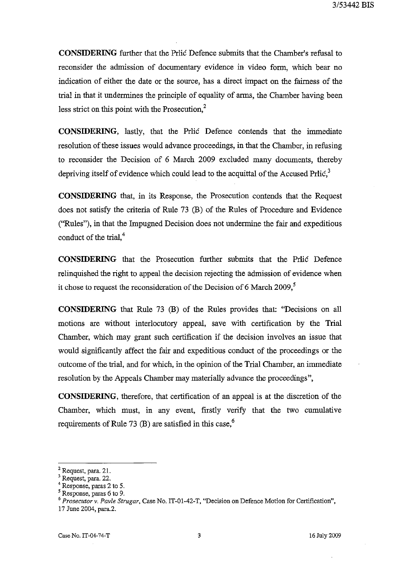**CONSIDERING** further that the Prlie Defence submits that the Chamber's refusal to reconsider the admission of documentary evidence in video form, which bear no indication of either the date or the source, has a direct impact on the fairness of the trial in that it undermines the principle of equality of arms, the Chamber having been less strict on this point with the Prosecution, $2$ 

**CONSIDERING,** lastly, that the Prlie Defence contends that the immediate resolution of these issues would advance proceedings, in that the Chamber, in refusing to reconsider the Decision of 6 March 2009 excluded many documents, thereby depriving itself of evidence which could lead to the acquittal of the Accused Prli $\epsilon$ <sup>3</sup>

**CONSIDERING** that, in its Response, the Prosecution contends that the Request does not satisfy the criteria of Rule 73 (B) of the Rules of Procedure and Evidence ("Rules"), in that the Impugned Decision does not undermine the fair and expeditious conduct of the trial, $4$ 

**CONSIDERING** that the Prosecution further submits that the Pritic Defence relinquished the right to appeal the decision rejecting the admission of evidence when it chose to request the reconsideration of the Decision of 6 March 2009, $\frac{5}{1}$ 

**CONSIDERING** that Rule 73 (B) of the Rules provides that: "Decisions on all motions are without interlocutory appeal, save with certification by the Trial Chamber, which may grant such certification if the decision involves an issue that would significantly affect the fair and expeditious conduct of the proceedings or the outcome of the trial, and for which, in the opinion of the Trial Chamber, an immediate resolution by the Appeals Chamber may materially advance the proceedings",

**CONSIDERING,** therefore, that certification of an appeal is at the discretion of the Chamber, which must, in any event, firstly verify that the two cumulative requirements of Rule 73 (B) are satisfied in this case,<sup>6</sup>

<sup>2</sup> Request, para. 21.

<sup>3</sup> Request, para. 22.

<sup>4</sup> Response, paras 2 to 5.

 $<sup>5</sup>$  Response, paras 6 to 9.</sup>

<sup>&</sup>lt;sup>6</sup> Prosecutor v. Pavle Strugar, Case No. IT-01-42-T, "Decision on Defence Motion for Certification",

<sup>17</sup> June 2004, para.2.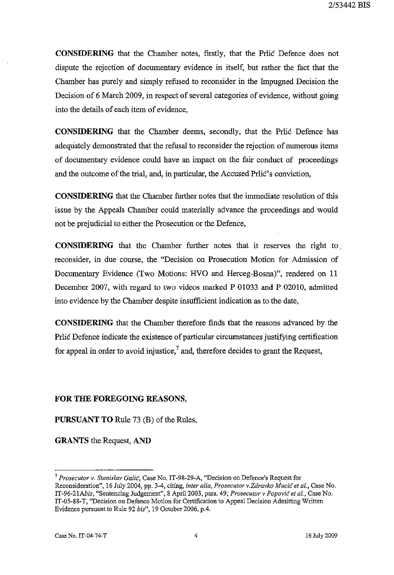**CONSIDERING** that the Chamber notes, firstly, that the Price Defence does not dispute the rejection of documentary evidence in itself, but rather the fact that the Chamber has purely and simply refused to reconsider in the Impugned Decision the Decision of 6 March 2009, in respect of several categories of evidence, without going into the details of each item of evidence,

**CONSIDERING** that the Chamber deems, secondly, that the Prlic Defence has adequately demonstrated that the refusal to reconsider the rejection of numerous items of documentary evidence could have an impact on the fair conduct of proceedings and the outcome of the trial, and, in particular, the Accused Prlic's conviction,

**CONSIDERING** that the Chamber further notes that the immediate resolution of this issue by the Appeals Chamber could materially advance the proceedings and would not be prejudicial to either the Prosecution or the Defence,

**CONSIDERING** that the Chamber further notes that it reserves the right to. reconsider, in due course, the "Decision on Prosecution Motion for Admission of Documentary Evidence (Two Motions: HVO and Herceg-Bosna)", rendered on 11 December 2007, with regard to two videos marked P 01033 and P 02010, admitted into evidence by the Chamber despite insufficient indication as to the date,

**CONSIDERING** that the Chamber therefore finds that the reasons advanced by the Prilic Defence indicate the existence of particular circumstances justifying certification for appeal in order to avoid injustice,<sup>7</sup> and, therefore decides to grant the Request,

## **FOR THE FOREGOING REASONS,**

**PURSUANT TO** Rule 73 (B) of the Rules,

**GRANTS** the Request, AND

<sup>7</sup>*Prosecutor* v. *Stanislav Galic,* Case No. IT -98-29-A, "Decision on Defence'S Request for **Reconsideration", 16 July 2004, pp. 3-4, citing,** *inter alia, Prosecutor v.Zdravko Mucic et al.,* **Case No.**  *IT-96-21Abis,* "Sentencing Judgement", 8 Apri12003, para. 49; *Prosecutor* v *Popovic et aI.,* Case No. IT-05-88-T, "Decision on Defence Motion for Certification to Appeal Decision Admitting Written Evidence pursuant to Rille 92 *bis",* 19 October 2006, p.4.